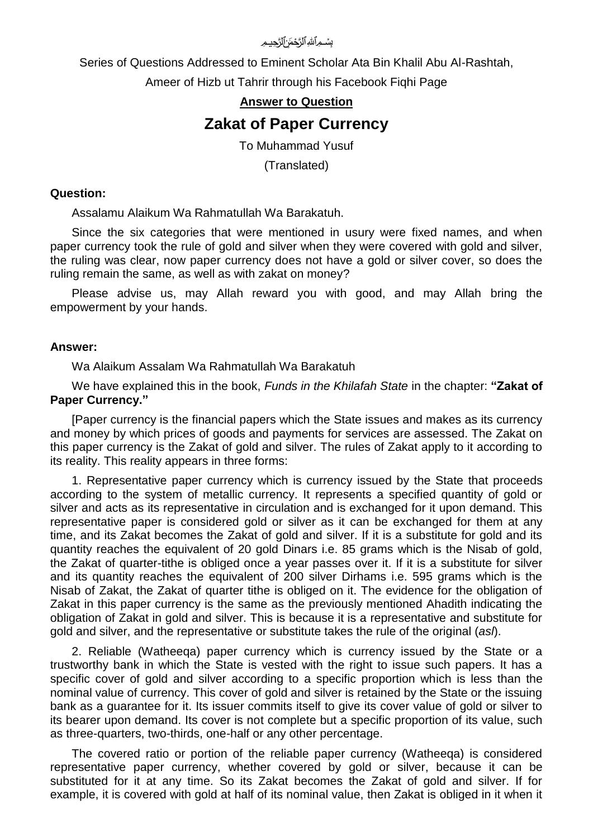#### بسَّــمِ ٱللهِ ٱلْأَحْمَٰ ۚ ٱلْأَحِــمِ

Series of Questions Addressed to Eminent Scholar Ata Bin Khalil Abu Al-Rashtah,

Ameer of Hizb ut Tahrir through his Facebook Fiqhi Page

### **Answer to Question**

## **Zakat of Paper Currency**

To Muhammad Yusuf

(Translated)

#### **Question:**

Assalamu Alaikum Wa Rahmatullah Wa Barakatuh.

Since the six categories that were mentioned in usury were fixed names, and when paper currency took the rule of gold and silver when they were covered with gold and silver, the ruling was clear, now paper currency does not have a gold or silver cover, so does the ruling remain the same, as well as with zakat on money?

Please advise us, may Allah reward you with good, and may Allah bring the empowerment by your hands.

#### **Answer:**

Wa Alaikum Assalam Wa Rahmatullah Wa Barakatuh

We have explained this in the book, *Funds in the Khilafah State* in the chapter: **"Zakat of Paper Currency."**

[Paper currency is the financial papers which the State issues and makes as its currency and money by which prices of goods and payments for services are assessed. The Zakat on this paper currency is the Zakat of gold and silver. The rules of Zakat apply to it according to its reality. This reality appears in three forms:

1. Representative paper currency which is currency issued by the State that proceeds according to the system of metallic currency. It represents a specified quantity of gold or silver and acts as its representative in circulation and is exchanged for it upon demand. This representative paper is considered gold or silver as it can be exchanged for them at any time, and its Zakat becomes the Zakat of gold and silver. If it is a substitute for gold and its quantity reaches the equivalent of 20 gold Dinars i.e. 85 grams which is the Nisab of gold, the Zakat of quarter-tithe is obliged once a year passes over it. If it is a substitute for silver and its quantity reaches the equivalent of 200 silver Dirhams i.e. 595 grams which is the Nisab of Zakat, the Zakat of quarter tithe is obliged on it. The evidence for the obligation of Zakat in this paper currency is the same as the previously mentioned Ahadith indicating the obligation of Zakat in gold and silver. This is because it is a representative and substitute for gold and silver, and the representative or substitute takes the rule of the original (*asl*).

2. Reliable (Watheeqa) paper currency which is currency issued by the State or a trustworthy bank in which the State is vested with the right to issue such papers. It has a specific cover of gold and silver according to a specific proportion which is less than the nominal value of currency. This cover of gold and silver is retained by the State or the issuing bank as a guarantee for it. Its issuer commits itself to give its cover value of gold or silver to its bearer upon demand. Its cover is not complete but a specific proportion of its value, such as three-quarters, two-thirds, one-half or any other percentage.

The covered ratio or portion of the reliable paper currency (Watheeqa) is considered representative paper currency, whether covered by gold or silver, because it can be substituted for it at any time. So its Zakat becomes the Zakat of gold and silver. If for example, it is covered with gold at half of its nominal value, then Zakat is obliged in it when it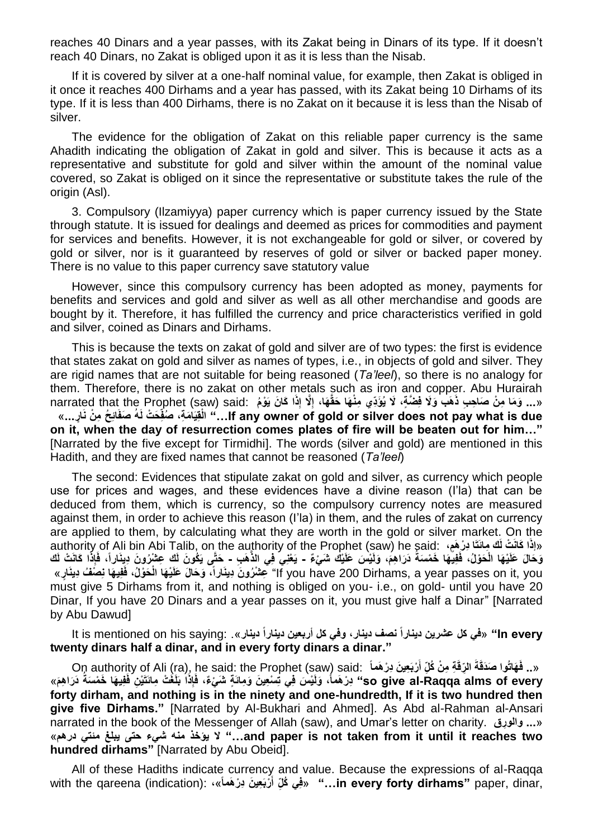reaches 40 Dinars and a year passes, with its Zakat being in Dinars of its type. If it doesn't reach 40 Dinars, no Zakat is obliged upon it as it is less than the Nisab.

If it is covered by silver at a one-half nominal value, for example, then Zakat is obliged in it once it reaches 400 Dirhams and a year has passed, with its Zakat being 10 Dirhams of its type. If it is less than 400 Dirhams, there is no Zakat on it because it is less than the Nisab of silver.

The evidence for the obligation of Zakat on this reliable paper currency is the same Ahadith indicating the obligation of Zakat in gold and silver. This is because it acts as a representative and substitute for gold and silver within the amount of the nominal value covered, so Zakat is obliged on it since the representative or substitute takes the rule of the origin (Asl).

3. Compulsory (Ilzamiyya) paper currency which is paper currency issued by the State through statute. It is issued for dealings and deemed as prices for commodities and payment for services and benefits. However, it is not exchangeable for gold or silver, or covered by gold or silver, nor is it guaranteed by reserves of gold or silver or backed paper money. There is no value to this paper currency save statutory value

However, since this compulsory currency has been adopted as money, payments for benefits and services and gold and silver as well as all other merchandise and goods are bought by it. Therefore, it has fulfilled the currency and price characteristics verified in gold and silver, coined as Dinars and Dirhams.

This is because the texts on zakat of gold and silver are of two types: the first is evidence that states zakat on gold and silver as names of types, i.e., in objects of gold and silver. They are rigid names that are not suitable for being reasoned (*Ta'leel*), so there is no analogy for them. Therefore, there is no zakat on other metals such as iron and copper. Abu Hurairah «... وَمَا مِنْ صَاحِبِ ذَهَبْ وَلَا فِضَّةٍ، لَا يُؤَدِّي مِنْهَا حَقَّهَا، إِلَّا إِذَا كَانَ يَوْمُ said: أَهْل بَالَا إِذَا الله عَلَم الله عَقَّها، إِلَّا إِذَا كَانَ يَوْمُ said: أَهْل الله narrated that the Proph **ِ** lf any owner of gold or silver does not pay what is due…" الْقِيَامَةِ، صُفِّحَتْ لَهُ صَفَائِحُ مِنْ نَارِ...» **on it, when the day of resurrection comes plates of fire will be beaten out for him…"** [Narrated by the five except for Tirmidhi]. The words (silver and gold) are mentioned in this Hadith, and they are fixed names that cannot be reasoned (*Ta'leel*)

The second: Evidences that stipulate zakat on gold and silver, as currency which people use for prices and wages, and these evidences have a divine reason (I'la) that can be deduced from them, which is currency, so the compulsory currency notes are measured against them, in order to achieve this reason (I'la) in them, and the rules of zakat on currency are applied to them, by calculating what they are worth in the gold or silver market. On the authority of Ali bin Abi Talib, on the authority of the Prophet (saw) he said: **،مٍهَ رْدِ اَتَمائِ كَل تْ َكانَ ا** »**إذَ** وَحَالَ عَلَيْهَا الْحَوْلُ، فَفِيَّهَا خَمْسَةُ دَرَاهِمَ، وَلَيْسَ عَلَيْك شَيْءٌ - يَعْنِي فِي الذَّهَبِ - حَتَّي يَكُونَ لَك عِثْبُرُونَ دِيِنَاراً، فَإِذًا كَانَتْ لَك lf you have 200 Dirhams, a year passes on it, you" عِشْرُونَ دِينَاراً، وَحَالَ عَلَيْهَا الْحَوْلُ، فَفِيهَا نِصُفْ دِينَارٍ» must give 5 Dirhams from it, and nothing is obliged on you- i.e., on gold- until you have 20 Dinar, If you have 20 Dinars and a year passes on it, you must give half a Dinar" [Narrated by Abu Dawud]

 **every In**« **"فً كل عشرٌن دٌناراً نصف دٌنار، وفً كل أربعٌن دٌناراً دٌنار**«. :saying his on mentioned is It **twenty dinars half a dinar, and in every forty dinars a dinar."**

«.. فَهَاتُوا صَدَقَةَ الرِّقَةِ مِنْ كُلِّ أَرْبَعِينَ دِرْهَماً On authority of Ali (ra), he said: the Prophet (saw) said: **َ** so give al-Raqqa alms of every" دِرْهَماً، وَلَيْسَ فِي تِسْعِينَ وَمِانَةٍ شَيْءٌ، فَإِذَا بَلَغْتْ مِانَتَيْنِ فَفِيهَا خَمْسَةُ دَرَاهِمَ» **forty dirham, and nothing is in the ninety and one-hundredth, If it is two hundred then give five Dirhams."** [Narrated by Al-Bukhari and Ahmed]. As Abd al-Rahman al-Ansari narrated in the book of the Messenger of Allah (saw), and Umar's letter on charity. **رقِوالو ...**» »**درهم ًمئت بلغٌ حتى ءًش منه ؤخذٌ لَ..." and paper is not taken from it until it reaches two hundred dirhams"** [Narrated by Abu Obeid].

All of these Hadiths indicate currency and value. Because the expressions of al-Raqqa **ْربَ ِعٌ َن ِدْر َهماً**«، :(indication (qareena the with **ّل أ ِ كُ ًِف..."** »**in every forty dirhams"** paper, dinar, **َ**